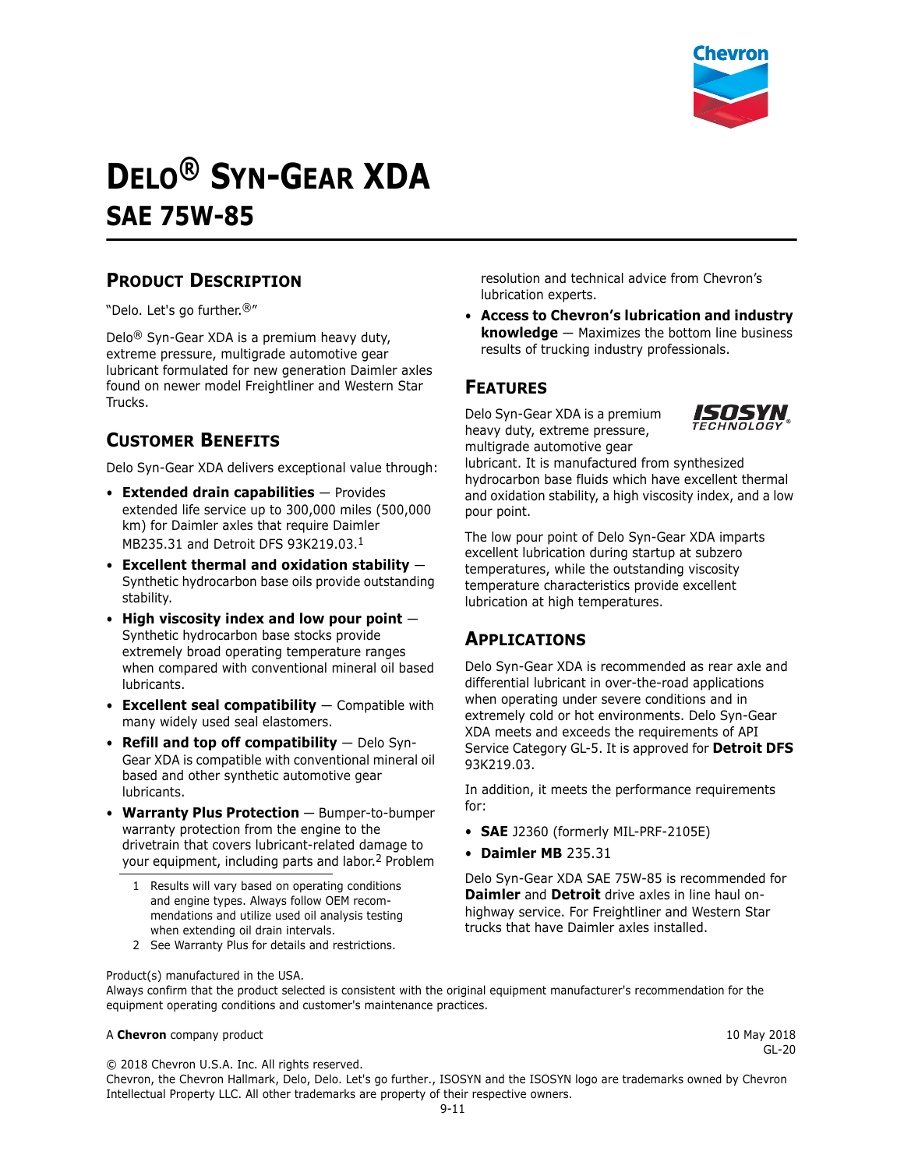

# **DELO® SYN-GEAR XDA SAE 75W-85**

## **PRODUCT DESCRIPTION**

"Delo. Let's go further.®"

Delo® Syn-Gear XDA is a premium heavy duty, extreme pressure, multigrade automotive gear lubricant formulated for new generation Daimler axles found on newer model Freightliner and Western Star Trucks.

## **CUSTOMER BENEFITS**

Delo Syn-Gear XDA delivers exceptional value through:

- **Extended drain capabilities** Provides extended life service up to 300,000 miles (500,000 km) for Daimler axles that require Daimler MB235.31 and Detroit DFS 93K219.03.1
- **Excellent thermal and oxidation stability** Synthetic hydrocarbon base oils provide outstanding stability.
- **High viscosity index and low pour point** Synthetic hydrocarbon base stocks provide extremely broad operating temperature ranges when compared with conventional mineral oil based lubricants.
- **Excellent seal compatibility** Compatible with many widely used seal elastomers.
- **Refill and top off compatibility** Delo Syn-Gear XDA is compatible with conventional mineral oil based and other synthetic automotive gear lubricants.
- **Warranty Plus Protection** Bumper-to-bumper warranty protection from the engine to the drivetrain that covers lubricant-related damage to your equipment, including parts and labor.2 Problem
	- 1 Results will vary based on operating conditions and engine types. Always follow OEM recommendations and utilize used oil analysis testing when extending oil drain intervals.
	- 2 See Warranty Plus for details and restrictions.

resolution and technical advice from Chevron's lubrication experts.

• **Access to Chevron's lubrication and industry knowledge** — Maximizes the bottom line business results of trucking industry professionals.

#### **FEATURES**

Delo Syn-Gear XDA is a premium heavy duty, extreme pressure, multigrade automotive gear



lubricant. It is manufactured from synthesized hydrocarbon base fluids which have excellent thermal and oxidation stability, a high viscosity index, and a low pour point.

The low pour point of Delo Syn-Gear XDA imparts excellent lubrication during startup at subzero temperatures, while the outstanding viscosity temperature characteristics provide excellent lubrication at high temperatures.

### **APPLICATIONS**

Delo Syn-Gear XDA is recommended as rear axle and differential lubricant in over-the-road applications when operating under severe conditions and in extremely cold or hot environments. Delo Syn-Gear XDA meets and exceeds the requirements of API Service Category GL-5. It is approved for **Detroit DFS** 93K219.03.

In addition, it meets the performance requirements for:

- **SAE** J2360 (formerly MIL-PRF-2105E)
- **Daimler MB** 235.31

Delo Syn-Gear XDA SAE 75W-85 is recommended for **Daimler** and **Detroit** drive axles in line haul onhighway service. For Freightliner and Western Star trucks that have Daimler axles installed.

Product(s) manufactured in the USA.

Always confirm that the product selected is consistent with the original equipment manufacturer's recommendation for the equipment operating conditions and customer's maintenance practices.

#### A **Chevron** company product **10 May 2018** 10 May 2018

GL-20

© 2018 Chevron U.S.A. Inc. All rights reserved.

Chevron, the Chevron Hallmark, Delo, Delo. Let's go further., ISOSYN and the ISOSYN logo are trademarks owned by Chevron Intellectual Property LLC. All other trademarks are property of their respective owners.